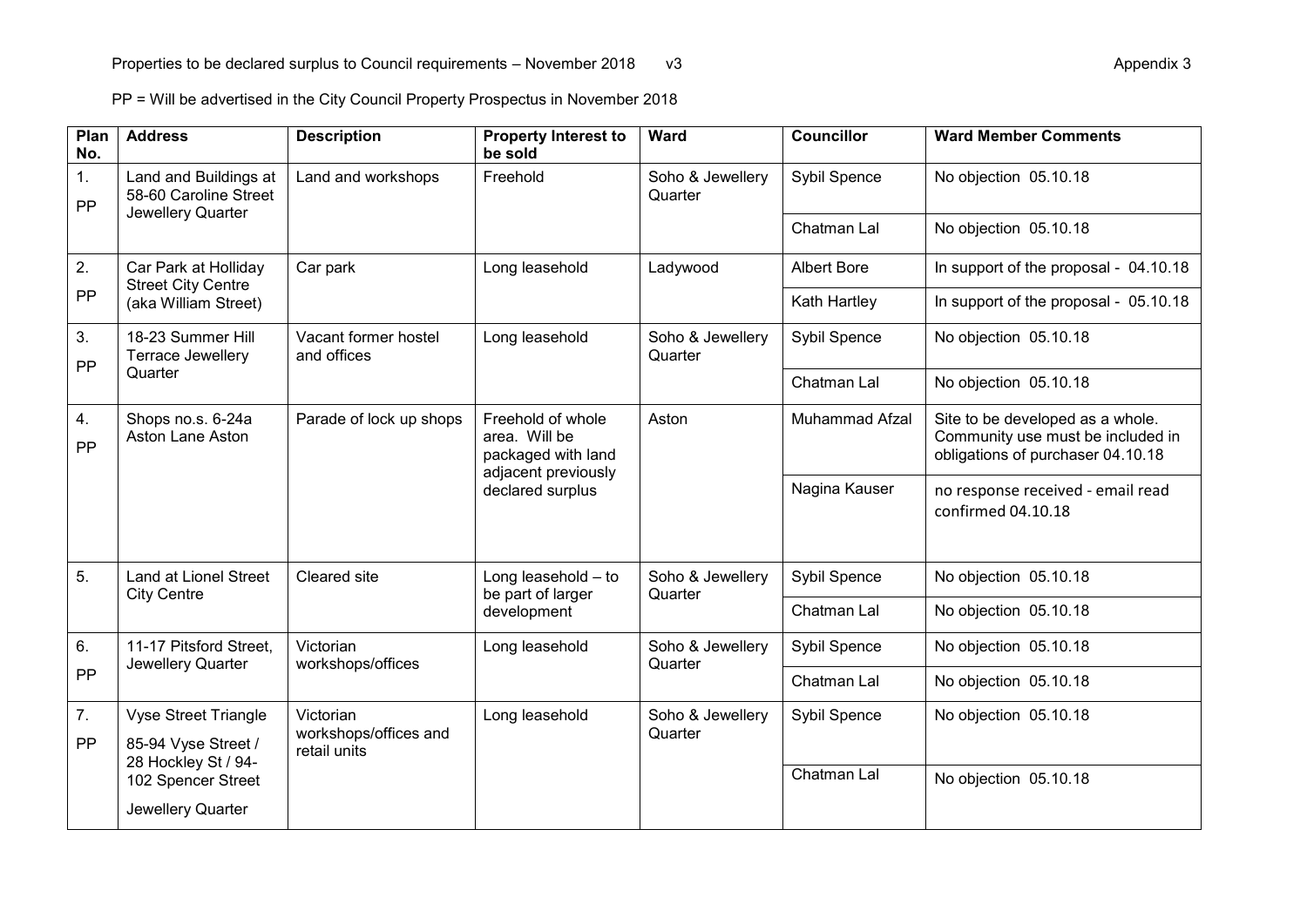PP = Will be advertised in the City Council Property Prospectus in November 2018

| Plan<br>No. | <b>Address</b>                                                            | <b>Description</b>                                 | <b>Property Interest to</b><br>be sold                                                              | Ward                        | <b>Councillor</b>  | <b>Ward Member Comments</b>                                                                                |
|-------------|---------------------------------------------------------------------------|----------------------------------------------------|-----------------------------------------------------------------------------------------------------|-----------------------------|--------------------|------------------------------------------------------------------------------------------------------------|
| 1.<br>PP    | Land and Buildings at<br>58-60 Caroline Street<br>Jewellery Quarter       | Land and workshops                                 | Freehold                                                                                            | Soho & Jewellery<br>Quarter | Sybil Spence       | No objection 05.10.18                                                                                      |
|             |                                                                           |                                                    |                                                                                                     |                             | Chatman Lal        | No objection 05.10.18                                                                                      |
| 2.<br>PP    | Car Park at Holliday<br><b>Street City Centre</b><br>(aka William Street) | Car park                                           | Long leasehold                                                                                      | Ladywood                    | <b>Albert Bore</b> | In support of the proposal - 04.10.18                                                                      |
|             |                                                                           |                                                    |                                                                                                     |                             | Kath Hartley       | In support of the proposal - 05.10.18                                                                      |
| 3.<br>PP    | 18-23 Summer Hill<br>Terrace Jewellery<br>Quarter                         | Vacant former hostel<br>and offices                | Long leasehold                                                                                      | Soho & Jewellery<br>Quarter | Sybil Spence       | No objection 05.10.18                                                                                      |
|             |                                                                           |                                                    |                                                                                                     |                             | Chatman Lal        | No objection 05.10.18                                                                                      |
| 4.<br>PP    | Shops no.s. 6-24a<br>Aston Lane Aston                                     | Parade of lock up shops                            | Freehold of whole<br>area. Will be<br>packaged with land<br>adjacent previously<br>declared surplus | Aston                       | Muhammad Afzal     | Site to be developed as a whole.<br>Community use must be included in<br>obligations of purchaser 04.10.18 |
|             |                                                                           |                                                    |                                                                                                     |                             | Nagina Kauser      | no response received - email read<br>confirmed 04.10.18                                                    |
| 5.          | <b>Land at Lionel Street</b><br><b>City Centre</b>                        | Cleared site                                       | Long leasehold $-$ to<br>be part of larger<br>development                                           | Soho & Jewellery<br>Quarter | Sybil Spence       | No objection 05.10.18                                                                                      |
|             |                                                                           |                                                    |                                                                                                     |                             | Chatman Lal        | No objection 05.10.18                                                                                      |
| 6.          | 11-17 Pitsford Street,<br>Victorian<br>Jewellery Quarter                  | workshops/offices                                  | Long leasehold                                                                                      | Soho & Jewellery<br>Quarter | Sybil Spence       | No objection 05.10.18                                                                                      |
| PP          |                                                                           |                                                    |                                                                                                     |                             | Chatman Lal        | No objection 05.10.18                                                                                      |
| 7.<br>PP    | <b>Vyse Street Triangle</b><br>85-94 Vyse Street /<br>28 Hockley St / 94- | Victorian<br>workshops/offices and<br>retail units | Long leasehold                                                                                      | Soho & Jewellery<br>Quarter | Sybil Spence       | No objection 05.10.18                                                                                      |
|             | 102 Spencer Street<br>Jewellery Quarter                                   |                                                    |                                                                                                     |                             | Chatman Lal        | No objection 05.10.18                                                                                      |